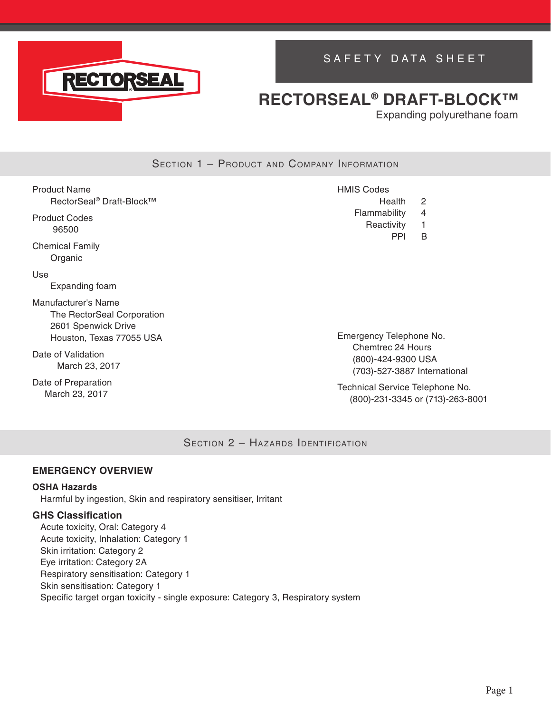

## SAFETY DATA SHEET

## **RECTORSEAL® DRAFT-BLOCK™**

Expanding polyurethane foam

### SECTION 1 - PRODUCT AND COMPANY INFORMATION

| Product Name |                                      |
|--------------|--------------------------------------|
|              | RectorSeal <sup>®</sup> Draft-Block™ |

Product Codes 96500

Chemical Family Organic

Use

Expanding foam

Manufacturer's Name The RectorSeal Corporation 2601 Spenwick Drive Houston, Texas 77055 USA

Date of Validation March 23, 2017

Date of Preparation March 23, 2017

HMIS Codes

- Health 2
- Flammability 4 Reactivity 1
	- PPI B

Emergency Telephone No. Chemtrec 24 Hours (800)-424-9300 USA (703)-527-3887 International

Technical Service Telephone No. (800)-231-3345 or (713)-263-8001

SECTION 2 - HAZARDS IDENTIFICATION

### **EMERGENCY OVERVIEW**

#### **OSHA Hazards**

Harmful by ingestion, Skin and respiratory sensitiser, Irritant

#### **GHS Classification**

Acute toxicity, Oral: Category 4 Acute toxicity, Inhalation: Category 1 Skin irritation: Category 2 Eye irritation: Category 2A Respiratory sensitisation: Category 1 Skin sensitisation: Category 1 Specific target organ toxicity - single exposure: Category 3, Respiratory system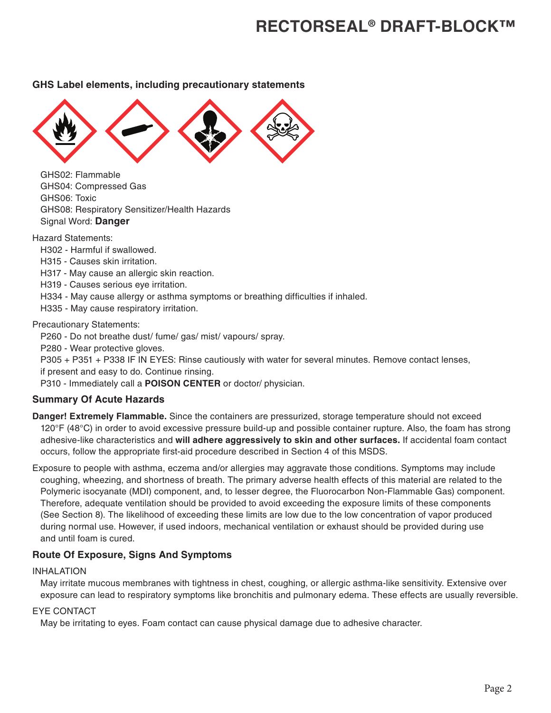#### **GHS Label elements, including precautionary statements**



GHS02: Flammable GHS04: Compressed Gas GHS06: Toxic GHS08: Respiratory Sensitizer/Health Hazards Signal Word: **Danger**

Hazard Statements:

- H302 Harmful if swallowed.
- H315 Causes skin irritation.
- H317 May cause an allergic skin reaction.
- H319 Causes serious eye irritation.
- H334 May cause allergy or asthma symptoms or breathing difficulties if inhaled.
- H335 May cause respiratory irritation.

Precautionary Statements:

P260 - Do not breathe dust/ fume/ gas/ mist/ vapours/ spray.

P280 - Wear protective gloves.

P305 + P351 + P338 IF IN EYES: Rinse cautiously with water for several minutes. Remove contact lenses, if present and easy to do. Continue rinsing.

P310 - Immediately call a **POISON CENTER** or doctor/ physician.

#### **Summary Of Acute Hazards**

**Danger! Extremely Flammable.** Since the containers are pressurized, storage temperature should not exceed 120°F (48°C) in order to avoid excessive pressure build-up and possible container rupture. Also, the foam has strong adhesive-like characteristics and **will adhere aggressively to skin and other surfaces.** If accidental foam contact occurs, follow the appropriate first-aid procedure described in Section 4 of this MSDS.

Exposure to people with asthma, eczema and/or allergies may aggravate those conditions. Symptoms may include coughing, wheezing, and shortness of breath. The primary adverse health effects of this material are related to the Polymeric isocyanate (MDI) component, and, to lesser degree, the Fluorocarbon Non-Flammable Gas) component. Therefore, adequate ventilation should be provided to avoid exceeding the exposure limits of these components (See Section 8). The likelihood of exceeding these limits are low due to the low concentration of vapor produced during normal use. However, if used indoors, mechanical ventilation or exhaust should be provided during use and until foam is cured.

### **Route Of Exposure, Signs And Symptoms**

#### INHALATION

May irritate mucous membranes with tightness in chest, coughing, or allergic asthma-like sensitivity. Extensive over exposure can lead to respiratory symptoms like bronchitis and pulmonary edema. These effects are usually reversible.

#### EYE CONTACT

May be irritating to eyes. Foam contact can cause physical damage due to adhesive character.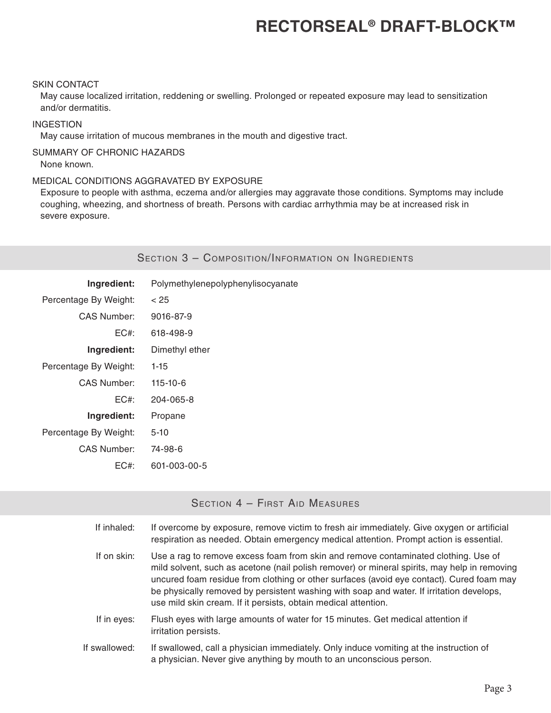#### SKIN CONTACT

May cause localized irritation, reddening or swelling. Prolonged or repeated exposure may lead to sensitization and/or dermatitis.

#### INGESTION

May cause irritation of mucous membranes in the mouth and digestive tract.

## SUMMARY OF CHRONIC HAZARDS

None known.

#### MEDICAL CONDITIONS AGGRAVATED BY EXPOSURE

Exposure to people with asthma, eczema and/or allergies may aggravate those conditions. Symptoms may include coughing, wheezing, and shortness of breath. Persons with cardiac arrhythmia may be at increased risk in severe exposure.

### SECTION 3 - COMPOSITION/INFORMATION ON INGREDIENTS

| Ingredient:           | Polymethylenepolyphenylisocyanate |
|-----------------------|-----------------------------------|
| Percentage By Weight: | < 25                              |
| CAS Number:           | 9016-87-9                         |
| EC#                   | 618-498-9                         |
| Ingredient:           | Dimethyl ether                    |
| Percentage By Weight: | $1 - 15$                          |
| CAS Number:           | 115-10-6                          |
| EC#                   | 204-065-8                         |
| Ingredient:           | Propane                           |
| Percentage By Weight: | 5-10                              |
| CAS Number:           | 74-98-6                           |
| EC#:                  | 601-003-00-5                      |

## SECTION 4 - FIRST AID MEASURES

| If inhaled:   | If overcome by exposure, remove victim to fresh air immediately. Give oxygen or artificial<br>respiration as needed. Obtain emergency medical attention. Prompt action is essential.                                                                                                                                                                                                                                                         |
|---------------|----------------------------------------------------------------------------------------------------------------------------------------------------------------------------------------------------------------------------------------------------------------------------------------------------------------------------------------------------------------------------------------------------------------------------------------------|
| If on skin:   | Use a rag to remove excess foam from skin and remove contaminated clothing. Use of<br>mild solvent, such as acetone (nail polish remover) or mineral spirits, may help in removing<br>uncured foam residue from clothing or other surfaces (avoid eye contact). Cured foam may<br>be physically removed by persistent washing with soap and water. If irritation develops,<br>use mild skin cream. If it persists, obtain medical attention. |
| If in eyes:   | Flush eyes with large amounts of water for 15 minutes. Get medical attention if<br>irritation persists.                                                                                                                                                                                                                                                                                                                                      |
| If swallowed: | If swallowed, call a physician immediately. Only induce vomiting at the instruction of<br>a physician. Never give anything by mouth to an unconscious person.                                                                                                                                                                                                                                                                                |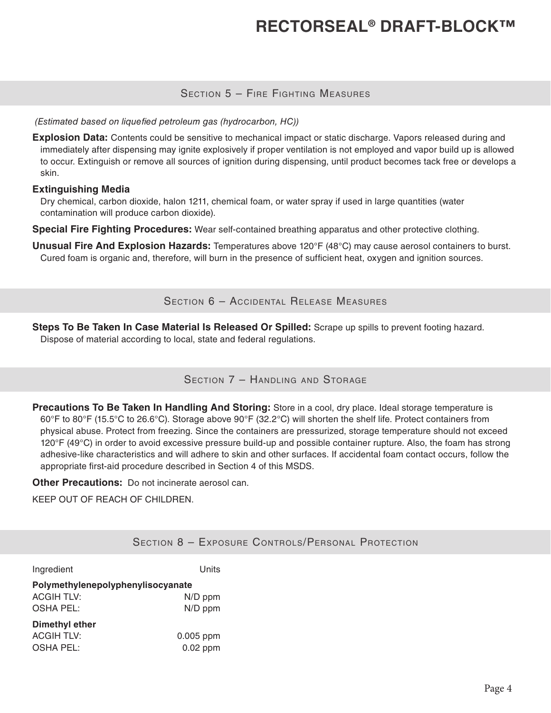### Section 5 – Fire Fighting Measures

#### *(Estimated based on liquefied petroleum gas (hydrocarbon, HC))*

**Explosion Data:** Contents could be sensitive to mechanical impact or static discharge. Vapors released during and immediately after dispensing may ignite explosively if proper ventilation is not employed and vapor build up is allowed to occur. Extinguish or remove all sources of ignition during dispensing, until product becomes tack free or develops a skin.

#### **Extinguishing Media**

Dry chemical, carbon dioxide, halon 1211, chemical foam, or water spray if used in large quantities (water contamination will produce carbon dioxide).

**Special Fire Fighting Procedures:** Wear self-contained breathing apparatus and other protective clothing.

**Unusual Fire And Explosion Hazards:** Temperatures above 120°F (48°C) may cause aerosol containers to burst. Cured foam is organic and, therefore, will burn in the presence of sufficient heat, oxygen and ignition sources.

Section 6 – Accidental Release Measures

**Steps To Be Taken In Case Material Is Released Or Spilled:** Scrape up spills to prevent footing hazard. Dispose of material according to local, state and federal regulations.

### SECTION 7 - HANDLING AND STORAGE

**Precautions To Be Taken In Handling And Storing:** Store in a cool, dry place. Ideal storage temperature is 60°F to 80°F (15.5°C to 26.6°C). Storage above 90°F (32.2°C) will shorten the shelf life. Protect containers from physical abuse. Protect from freezing. Since the containers are pressurized, storage temperature should not exceed 120°F (49°C) in order to avoid excessive pressure build-up and possible container rupture. Also, the foam has strong adhesive-like characteristics and will adhere to skin and other surfaces. If accidental foam contact occurs, follow the appropriate first-aid procedure described in Section 4 of this MSDS.

**Other Precautions:** Do not incinerate aerosol can.

KEEP OUT OF REACH OF CHILDREN.

## Section 8 – Exposure Controls/Personal Protection

| Ingredient                                                     | Units                     |
|----------------------------------------------------------------|---------------------------|
| Polymethylenepolyphenylisocyanate<br><b>ACGIH TLV:</b>         | N/D ppm                   |
| <b>OSHA PEL:</b><br><b>Dimethyl ether</b><br><b>ACGIH TLV:</b> | N/D ppm                   |
| <b>OSHA PEL:</b>                                               | $0.005$ ppm<br>$0.02$ ppm |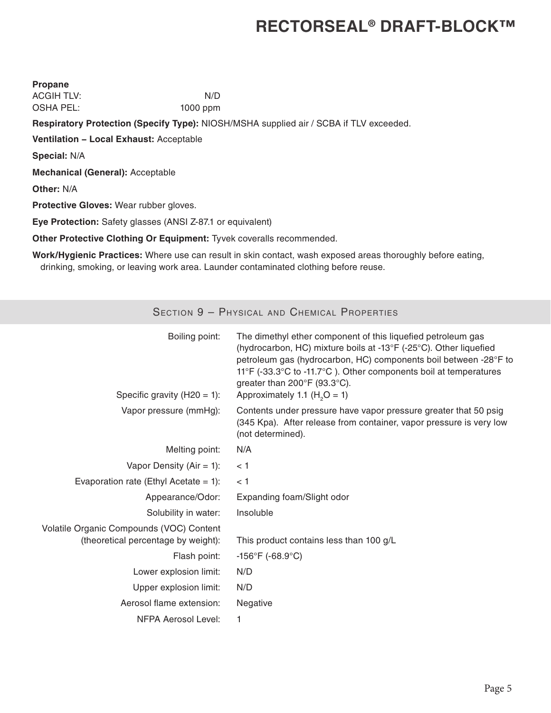| <b>Propane</b>                                                                         |          |  |
|----------------------------------------------------------------------------------------|----------|--|
| <b>ACGIH TLV:</b>                                                                      | N/D      |  |
| <b>OSHA PEL:</b>                                                                       | 1000 ppm |  |
| Respiratory Protection (Specify Type): NIOSH/MSHA supplied air / SCBA if TLV exceeded. |          |  |
| <b>Ventilation - Local Exhaust: Acceptable</b>                                         |          |  |
| <b>Special: N/A</b>                                                                    |          |  |
| <b>Mechanical (General): Acceptable</b>                                                |          |  |
| <b>Other: N/A</b>                                                                      |          |  |
| <b>Protective Gloves: Wear rubber gloves.</b>                                          |          |  |
| <b>Eye Protection:</b> Safety glasses (ANSI Z-87.1 or equivalent)                      |          |  |
| Other Protective Clothing Or Equipment: Tyvek coveralls recommended.                   |          |  |
|                                                                                        |          |  |

**Work/Hygienic Practices:** Where use can result in skin contact, wash exposed areas thoroughly before eating, drinking, smoking, or leaving work area. Launder contaminated clothing before reuse.

| SECTION 9 - PHYSICAL AND CHEMICAL PROPERTIES                                    |                                                                                                                                                                                                                                                                                                                                              |
|---------------------------------------------------------------------------------|----------------------------------------------------------------------------------------------------------------------------------------------------------------------------------------------------------------------------------------------------------------------------------------------------------------------------------------------|
| Boiling point:<br>Specific gravity (H20 = 1):                                   | The dimethyl ether component of this liquefied petroleum gas<br>(hydrocarbon, HC) mixture boils at -13°F (-25°C). Other liquefied<br>petroleum gas (hydrocarbon, HC) components boil between -28°F to<br>11°F (-33.3°C to -11.7°C). Other components boil at temperatures<br>greater than 200°F (93.3°C).<br>Approximately 1.1 ( $H2O = 1$ ) |
| Vapor pressure (mmHg):                                                          | Contents under pressure have vapor pressure greater that 50 psig<br>(345 Kpa). After release from container, vapor pressure is very low<br>(not determined).                                                                                                                                                                                 |
| Melting point:                                                                  | N/A                                                                                                                                                                                                                                                                                                                                          |
| Vapor Density ( $Air = 1$ ):                                                    | < 1                                                                                                                                                                                                                                                                                                                                          |
| Evaporation rate (Ethyl Acetate = 1):                                           | < 1                                                                                                                                                                                                                                                                                                                                          |
| Appearance/Odor:                                                                | Expanding foam/Slight odor                                                                                                                                                                                                                                                                                                                   |
| Solubility in water:                                                            | Insoluble                                                                                                                                                                                                                                                                                                                                    |
| Volatile Organic Compounds (VOC) Content<br>(theoretical percentage by weight): | This product contains less than 100 g/L                                                                                                                                                                                                                                                                                                      |
| Flash point:                                                                    | $-156^{\circ}F$ (-68.9 $^{\circ}C$ )                                                                                                                                                                                                                                                                                                         |
| Lower explosion limit:                                                          | N/D                                                                                                                                                                                                                                                                                                                                          |
| Upper explosion limit:                                                          | N/D                                                                                                                                                                                                                                                                                                                                          |
| Aerosol flame extension:                                                        | Negative                                                                                                                                                                                                                                                                                                                                     |
| <b>NFPA Aerosol Level:</b>                                                      | 1                                                                                                                                                                                                                                                                                                                                            |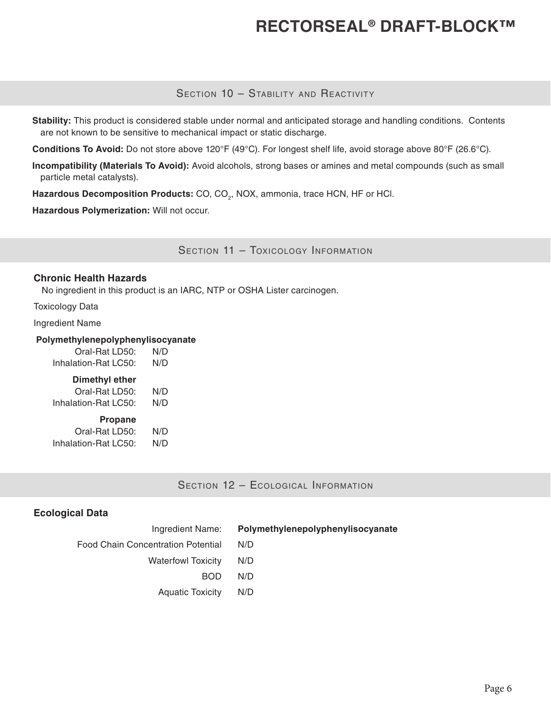### SECTION 10 - STABILITY AND REACTIVITY

**Stability:** This product is considered stable under normal and anticipated storage and handling conditions. Contents are not known to be sensitive to mechanical impact or static discharge.

**Conditions To Avoid:** Do not store above 120°F (49°C). For longest shelf life, avoid storage above 80°F (26.6°C).

**Incompatibility (Materials To Avoid):** Avoid alcohols, strong bases or amines and metal compounds (such as small particle metal catalysts).

Hazardous Decomposition Products: CO, CO<sub>2</sub>, NOX, ammonia, trace HCN, HF or HCl.

**Hazardous Polymerization:** Will not occur.

SECTION 11 - TOXICOLOGY INFORMATION

#### **Chronic Health Hazards**

No ingredient in this product is an IARC, NTP or OSHA Lister carcinogen.

Toxicology Data

Ingredient Name

#### **Polymethylenepolyphenylisocyanate**

| Oral-Rat LD50:       | N/D |
|----------------------|-----|
| Inhalation-Rat LC50: | N/D |

#### **Dimethyl ether**

| Oral-Rat LD50:       | N/D |
|----------------------|-----|
| Inhalation-Rat LC50: | N/D |
|                      |     |

## **Propane**

| Oral-Rat LD50:       | N/D |
|----------------------|-----|
| Inhalation-Rat LC50: | N/D |

SECTION 12 - ECOLOGICAL INFORMATION

#### **Ecological Data**

| Ingredient Name:                   | Polymethylenepolyphenylisocyanate |
|------------------------------------|-----------------------------------|
| Food Chain Concentration Potential | N/D                               |
| <b>Waterfowl Toxicity</b>          | N/D                               |
| BOD.                               | N/D                               |
| Aquatic Toxicity                   | N/D                               |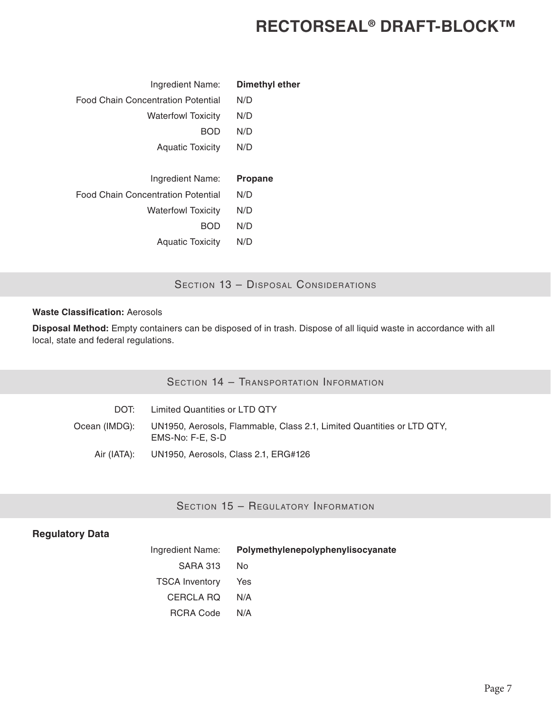| Dimethyl ether |
|----------------|
| N/D            |
| N/D            |
| N/D            |
| N/D            |
|                |
| <b>Propane</b> |
| N/D            |
| N/D            |
| N/D            |
| N/D            |
|                |

SECTION 13 - DISPOSAL CONSIDERATIONS

#### **Waste Classification:** Aerosols

**Disposal Method:** Empty containers can be disposed of in trash. Dispose of all liquid waste in accordance with all local, state and federal regulations.

| DOT:          | Limited Quantities or LTD QTY                                                              |
|---------------|--------------------------------------------------------------------------------------------|
| Ocean (IMDG): | UN1950, Aerosols, Flammable, Class 2.1, Limited Quantities or LTD QTY,<br>EMS-No: F-E. S-D |
|               | Air (IATA): UN1950, Aerosols, Class 2.1, ERG#126                                           |

## SECTION 15 - REGULATORY INFORMATION

#### **Regulatory Data**

| Ingredient Name:      | Polymethylenepolyphenylisocyanate |
|-----------------------|-----------------------------------|
| SARA 313              | No.                               |
| <b>TSCA Inventory</b> | Yes                               |
| CERCLA RO             | N/A                               |
| <b>RCRA Code</b>      | N/A                               |